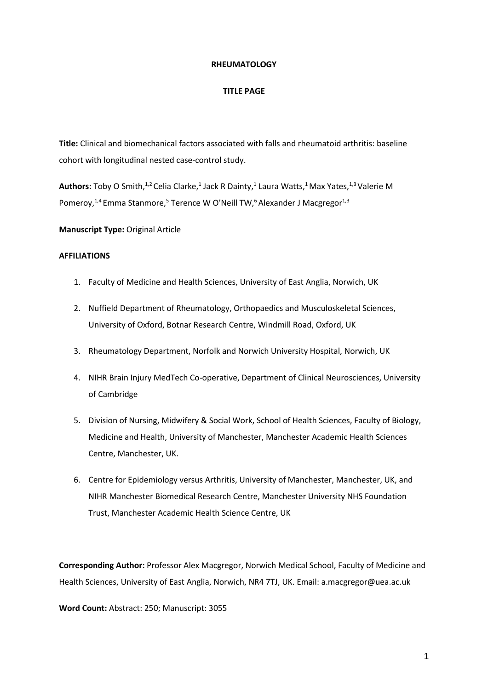#### **RHEUMATOLOGY**

#### **TITLE PAGE**

**Title:** Clinical and biomechanical factors associated with falls and rheumatoid arthritis: baseline cohort with longitudinal nested case-control study.

Authors: Toby O Smith,<sup>1,2</sup> Celia Clarke,<sup>1</sup> Jack R Dainty,<sup>1</sup> Laura Watts,<sup>1</sup> Max Yates,<sup>1,3</sup> Valerie M Pomeroy,<sup>1,4</sup> Emma Stanmore,<sup>5</sup> Terence W O'Neill TW,<sup>6</sup> Alexander J Macgregor<sup>1,3</sup>

**Manuscript Type:** Original Article

### **AFFILIATIONS**

- 1. Faculty of Medicine and Health Sciences, University of East Anglia, Norwich, UK
- 2. Nuffield Department of Rheumatology, Orthopaedics and Musculoskeletal Sciences, University of Oxford, Botnar Research Centre, Windmill Road, Oxford, UK
- 3. Rheumatology Department, Norfolk and Norwich University Hospital, Norwich, UK
- 4. NIHR Brain Injury MedTech Co-operative, Department of Clinical Neurosciences, University of Cambridge
- 5. Division of Nursing, Midwifery & Social Work, School of Health Sciences, Faculty of Biology, Medicine and Health, University of Manchester, Manchester Academic Health Sciences Centre, Manchester, UK.
- 6. Centre for Epidemiology versus Arthritis, University of Manchester, Manchester, UK, and NIHR Manchester Biomedical Research Centre, Manchester University NHS Foundation Trust, Manchester Academic Health Science Centre, UK

**Corresponding Author:** Professor Alex Macgregor, Norwich Medical School, Faculty of Medicine and Health Sciences, University of East Anglia, Norwich, NR4 7TJ, UK. Email: a.macgregor@uea.ac.uk

**Word Count:** Abstract: 250; Manuscript: 3055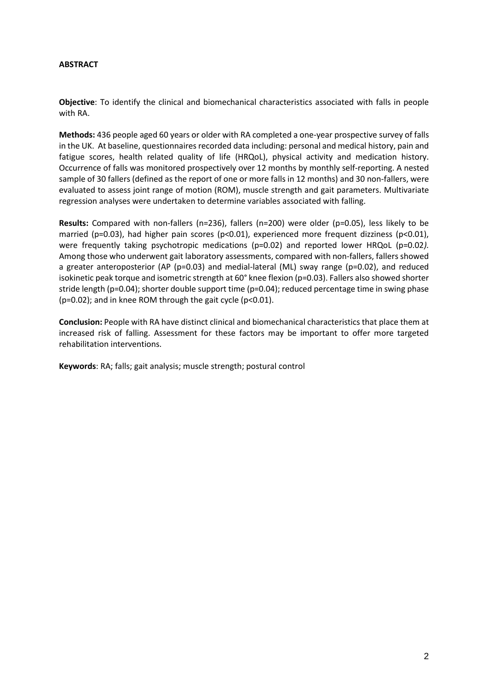### **ABSTRACT**

**Objective**: To identify the clinical and biomechanical characteristics associated with falls in people with RA.

**Methods:** 436 people aged 60 years or older with RA completed a one-year prospective survey of falls in the UK. At baseline, questionnaires recorded data including: personal and medical history, pain and fatigue scores, health related quality of life (HRQoL), physical activity and medication history. Occurrence of falls was monitored prospectively over 12 months by monthly self-reporting. A nested sample of 30 fallers (defined as the report of one or more falls in 12 months) and 30 non-fallers, were evaluated to assess joint range of motion (ROM), muscle strength and gait parameters. Multivariate regression analyses were undertaken to determine variables associated with falling.

**Results:** Compared with non-fallers (n=236), fallers (n=200) were older (p=0.05), less likely to be married (p=0.03), had higher pain scores (p<0.01), experienced more frequent dizziness (p<0.01), were frequently taking psychotropic medications (p=0.02) and reported lower HRQoL (p=0.02). Among those who underwent gait laboratory assessments, compared with non-fallers, fallers showed a greater anteroposterior (AP (p=0.03) and medial-lateral (ML) sway range (p=0.02), and reduced isokinetic peak torque and isometric strength at 60° knee flexion (p=0.03). Fallers also showed shorter stride length (p=0.04); shorter double support time (p=0.04); reduced percentage time in swing phase (p=0.02); and in knee ROM through the gait cycle (p<0.01).

**Conclusion:** People with RA have distinct clinical and biomechanical characteristics that place them at increased risk of falling. Assessment for these factors may be important to offer more targeted rehabilitation interventions.

**Keywords**: RA; falls; gait analysis; muscle strength; postural control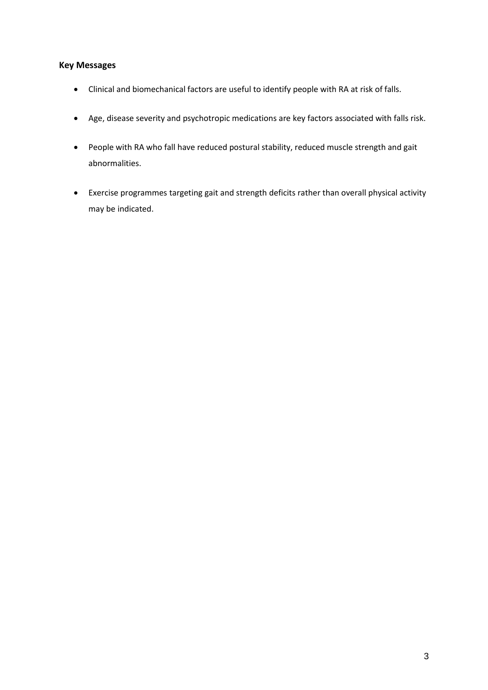# **Key Messages**

- Clinical and biomechanical factors are useful to identify people with RA at risk of falls.
- Age, disease severity and psychotropic medications are key factors associated with falls risk.
- People with RA who fall have reduced postural stability, reduced muscle strength and gait abnormalities.
- Exercise programmes targeting gait and strength deficits rather than overall physical activity may be indicated.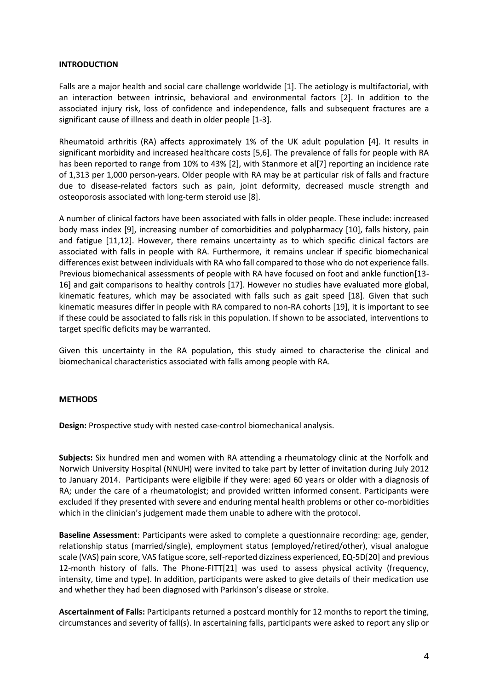#### **INTRODUCTION**

Falls are a major health and social care challenge worldwide [1]. The aetiology is multifactorial, with an interaction between intrinsic, behavioral and environmental factors [2]. In addition to the associated injury risk, loss of confidence and independence, falls and subsequent fractures are a significant cause of illness and death in older people [1-3].

Rheumatoid arthritis (RA) affects approximately 1% of the UK adult population [4]. It results in significant morbidity and increased healthcare costs [5,6]. The prevalence of falls for people with RA has been reported to range from 10% to 43% [2], with Stanmore et al[7] reporting an incidence rate of 1,313 per 1,000 person-years. Older people with RA may be at particular risk of falls and fracture due to disease-related factors such as pain, joint deformity, decreased muscle strength and osteoporosis associated with long-term steroid use [8].

A number of clinical factors have been associated with falls in older people. These include: increased body mass index [9], increasing number of comorbidities and polypharmacy [10], falls history, pain and fatigue [11,12]. However, there remains uncertainty as to which specific clinical factors are associated with falls in people with RA. Furthermore, it remains unclear if specific biomechanical differences exist between individuals with RA who fall compared to those who do not experience falls. Previous biomechanical assessments of people with RA have focused on foot and ankle function[13- 16] and gait comparisons to healthy controls [17]. However no studies have evaluated more global, kinematic features, which may be associated with falls such as gait speed [18]. Given that such kinematic measures differ in people with RA compared to non-RA cohorts [19], it is important to see if these could be associated to falls risk in this population. If shown to be associated, interventions to target specific deficits may be warranted.

Given this uncertainty in the RA population, this study aimed to characterise the clinical and biomechanical characteristics associated with falls among people with RA.

### **METHODS**

**Design:** Prospective study with nested case-control biomechanical analysis.

**Subjects:** Six hundred men and women with RA attending a rheumatology clinic at the Norfolk and Norwich University Hospital (NNUH) were invited to take part by letter of invitation during July 2012 to January 2014. Participants were eligibile if they were: aged 60 years or older with a diagnosis of RA; under the care of a rheumatologist; and provided written informed consent. Participants were excluded if they presented with severe and enduring mental health problems or other co-morbidities which in the clinician's judgement made them unable to adhere with the protocol.

**Baseline Assessment**: Participants were asked to complete a questionnaire recording: age, gender, relationship status (married/single), employment status (employed/retired/other), visual analogue scale (VAS) pain score, VAS fatigue score, self-reported dizziness experienced, EQ-5D[20] and previous 12-month history of falls. The Phone-FITT[21] was used to assess physical activity (frequency, intensity, time and type). In addition, participants were asked to give details of their medication use and whether they had been diagnosed with Parkinson's disease or stroke.

**Ascertainment of Falls:** Participants returned a postcard monthly for 12 months to report the timing, circumstances and severity of fall(s). In ascertaining falls, participants were asked to report any slip or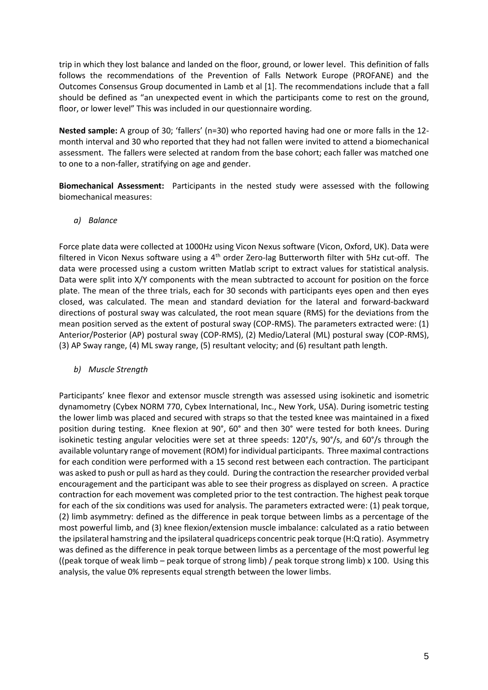trip in which they lost balance and landed on the floor, ground, or lower level. This definition of falls follows the recommendations of the Prevention of Falls Network Europe (PROFANE) and the Outcomes Consensus Group documented in Lamb et al [1]. The recommendations include that a fall should be defined as "an unexpected event in which the participants come to rest on the ground, floor, or lower level" This was included in our questionnaire wording.

**Nested sample:** A group of 30; 'fallers' (n=30) who reported having had one or more falls in the 12 month interval and 30 who reported that they had not fallen were invited to attend a biomechanical assessment. The fallers were selected at random from the base cohort; each faller was matched one to one to a non-faller, stratifying on age and gender.

**Biomechanical Assessment:** Participants in the nested study were assessed with the following biomechanical measures:

*a) Balance*

Force plate data were collected at 1000Hz using Vicon Nexus software (Vicon, Oxford, UK). Data were filtered in Vicon Nexus software using a  $4<sup>th</sup>$  order Zero-lag Butterworth filter with 5Hz cut-off. The data were processed using a custom written Matlab script to extract values for statistical analysis. Data were split into X/Y components with the mean subtracted to account for position on the force plate. The mean of the three trials, each for 30 seconds with participants eyes open and then eyes closed, was calculated. The mean and standard deviation for the lateral and forward-backward directions of postural sway was calculated, the root mean square (RMS) for the deviations from the mean position served as the extent of postural sway (COP-RMS). The parameters extracted were: (1) Anterior/Posterior (AP) postural sway (COP-RMS), (2) Medio/Lateral (ML) postural sway (COP-RMS), (3) AP Sway range, (4) ML sway range, (5) resultant velocity; and (6) resultant path length.

*b) Muscle Strength*

Participants' knee flexor and extensor muscle strength was assessed using isokinetic and isometric dynamometry (Cybex NORM 770, Cybex International, Inc., New York, USA). During isometric testing the lower limb was placed and secured with straps so that the tested knee was maintained in a fixed position during testing. Knee flexion at 90°, 60° and then 30° were tested for both knees. During isokinetic testing angular velocities were set at three speeds: 120°/s, 90°/s, and 60°/s through the available voluntary range of movement (ROM) for individual participants. Three maximal contractions for each condition were performed with a 15 second rest between each contraction. The participant was asked to push or pull as hard as they could. During the contraction the researcher provided verbal encouragement and the participant was able to see their progress as displayed on screen. A practice contraction for each movement was completed prior to the test contraction. The highest peak torque for each of the six conditions was used for analysis. The parameters extracted were: (1) peak torque, (2) limb asymmetry: defined as the difference in peak torque between limbs as a percentage of the most powerful limb, and (3) knee flexion/extension muscle imbalance: calculated as a ratio between the ipsilateral hamstring and the ipsilateral quadriceps concentric peak torque (H:Q ratio). Asymmetry was defined as the difference in peak torque between limbs as a percentage of the most powerful leg ((peak torque of weak limb – peak torque of strong limb) / peak torque strong limb)  $\times$  100. Using this analysis, the value 0% represents equal strength between the lower limbs.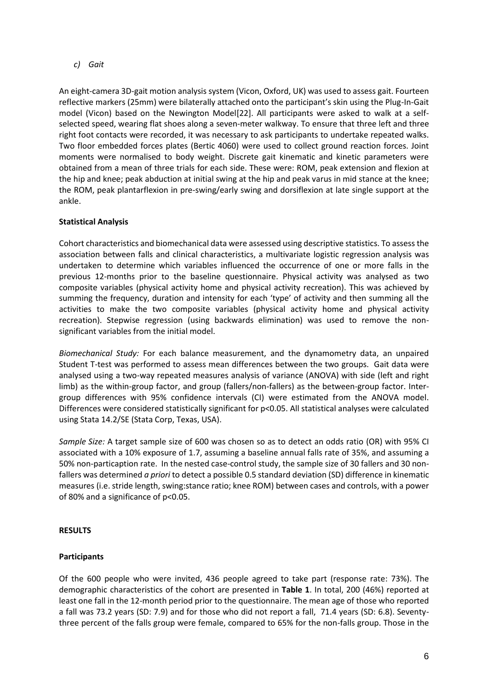*c) Gait*

An eight-camera 3D-gait motion analysis system (Vicon, Oxford, UK) was used to assess gait. Fourteen reflective markers (25mm) were bilaterally attached onto the participant's skin using the Plug-In-Gait model (Vicon) based on the Newington Model[22]. All participants were asked to walk at a selfselected speed, wearing flat shoes along a seven-meter walkway. To ensure that three left and three right foot contacts were recorded, it was necessary to ask participants to undertake repeated walks. Two floor embedded forces plates (Bertic 4060) were used to collect ground reaction forces. Joint moments were normalised to body weight. Discrete gait kinematic and kinetic parameters were obtained from a mean of three trials for each side. These were: ROM, peak extension and flexion at the hip and knee; peak abduction at initial swing at the hip and peak varus in mid stance at the knee; the ROM, peak plantarflexion in pre-swing/early swing and dorsiflexion at late single support at the ankle.

## **Statistical Analysis**

Cohort characteristics and biomechanical data were assessed using descriptive statistics. To assess the association between falls and clinical characteristics, a multivariate logistic regression analysis was undertaken to determine which variables influenced the occurrence of one or more falls in the previous 12-months prior to the baseline questionnaire. Physical activity was analysed as two composite variables (physical activity home and physical activity recreation). This was achieved by summing the frequency, duration and intensity for each 'type' of activity and then summing all the activities to make the two composite variables (physical activity home and physical activity recreation). Stepwise regression (using backwards elimination) was used to remove the nonsignificant variables from the initial model.

*Biomechanical Study:* For each balance measurement, and the dynamometry data, an unpaired Student T-test was performed to assess mean differences between the two groups. Gait data were analysed using a two-way repeated measures analysis of variance (ANOVA) with side (left and right limb) as the within-group factor, and group (fallers/non-fallers) as the between-group factor. Intergroup differences with 95% confidence intervals (CI) were estimated from the ANOVA model. Differences were considered statistically significant for p<0.05. All statistical analyses were calculated using Stata 14.2/SE (Stata Corp, Texas, USA).

*Sample Size:* A target sample size of 600 was chosen so as to detect an odds ratio (OR) with 95% CI associated with a 10% exposure of 1.7, assuming a baseline annual falls rate of 35%, and assuming a 50% non-particaption rate. In the nested case-control study, the sample size of 30 fallers and 30 nonfallers was determined *a priori* to detect a possible 0.5 standard deviation (SD) difference in kinematic measures (i.e. stride length, swing:stance ratio; knee ROM) between cases and controls, with a power of 80% and a significance of p<0.05.

## **RESULTS**

## **Participants**

Of the 600 people who were invited, 436 people agreed to take part (response rate: 73%). The demographic characteristics of the cohort are presented in **Table 1**. In total, 200 (46%) reported at least one fall in the 12-month period prior to the questionnaire. The mean age of those who reported a fall was 73.2 years (SD: 7.9) and for those who did not report a fall, 71.4 years (SD: 6.8). Seventythree percent of the falls group were female, compared to 65% for the non-falls group. Those in the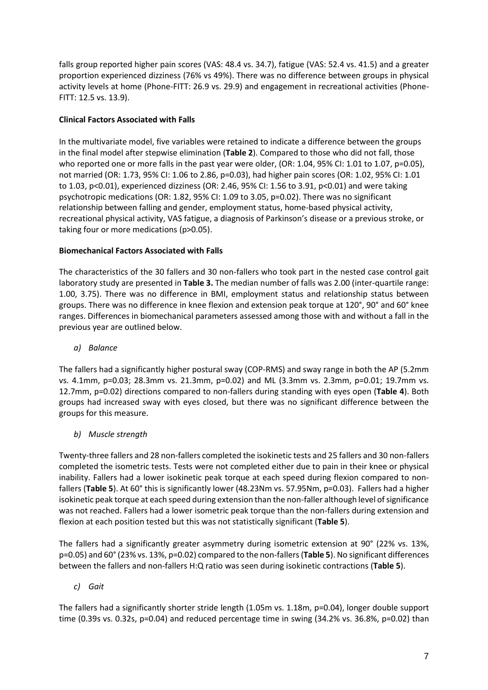falls group reported higher pain scores (VAS: 48.4 vs. 34.7), fatigue (VAS: 52.4 vs. 41.5) and a greater proportion experienced dizziness (76% vs 49%). There was no difference between groups in physical activity levels at home (Phone-FITT: 26.9 vs. 29.9) and engagement in recreational activities (Phone-FITT: 12.5 vs. 13.9).

# **Clinical Factors Associated with Falls**

In the multivariate model, five variables were retained to indicate a difference between the groups in the final model after stepwise elimination (**Table 2**). Compared to those who did not fall, those who reported one or more falls in the past year were older, (OR: 1.04, 95% CI: 1.01 to 1.07, p=0.05), not married (OR: 1.73, 95% CI: 1.06 to 2.86, p=0.03), had higher pain scores (OR: 1.02, 95% CI: 1.01 to 1.03, p<0.01), experienced dizziness (OR: 2.46, 95% CI: 1.56 to 3.91, p<0.01) and were taking psychotropic medications (OR: 1.82, 95% CI: 1.09 to 3.05, p=0.02). There was no significant relationship between falling and gender, employment status, home-based physical activity, recreational physical activity, VAS fatigue, a diagnosis of Parkinson's disease or a previous stroke, or taking four or more medications (p>0.05).

## **Biomechanical Factors Associated with Falls**

The characteristics of the 30 fallers and 30 non-fallers who took part in the nested case control gait laboratory study are presented in **Table 3.** The median number of falls was 2.00 (inter-quartile range: 1.00, 3.75). There was no difference in BMI, employment status and relationship status between groups. There was no difference in knee flexion and extension peak torque at 120°, 90° and 60° knee ranges. Differences in biomechanical parameters assessed among those with and without a fall in the previous year are outlined below.

*a) Balance*

The fallers had a significantly higher postural sway (COP-RMS) and sway range in both the AP (5.2mm vs. 4.1mm, p=0.03; 28.3mm vs. 21.3mm, p=0.02) and ML (3.3mm vs. 2.3mm, p=0.01; 19.7mm vs. 12.7mm, p=0.02) directions compared to non-fallers during standing with eyes open (**Table 4**). Both groups had increased sway with eyes closed, but there was no significant difference between the groups for this measure.

*b) Muscle strength*

Twenty-three fallers and 28 non-fallers completed the isokinetic tests and 25 fallers and 30 non-fallers completed the isometric tests. Tests were not completed either due to pain in their knee or physical inability. Fallers had a lower isokinetic peak torque at each speed during flexion compared to nonfallers (Table 5). At 60° this is significantly lower (48.23Nm vs. 57.95Nm, p=0.03). Fallers had a higher isokinetic peak torque at each speed during extension than the non-faller although level of significance was not reached. Fallers had a lower isometric peak torque than the non-fallers during extension and flexion at each position tested but this was not statistically significant (**Table 5**).

The fallers had a significantly greater asymmetry during isometric extension at 90° (22% vs. 13%, p=0.05) and 60° (23% vs. 13%, p=0.02) compared to the non-fallers(**Table 5**). No significant differences between the fallers and non-fallers H:Q ratio was seen during isokinetic contractions (**Table 5**).

## *c) Gait*

The fallers had a significantly shorter stride length (1.05m vs. 1.18m, p=0.04), longer double support time (0.39s vs. 0.32s, p=0.04) and reduced percentage time in swing (34.2% vs. 36.8%, p=0.02) than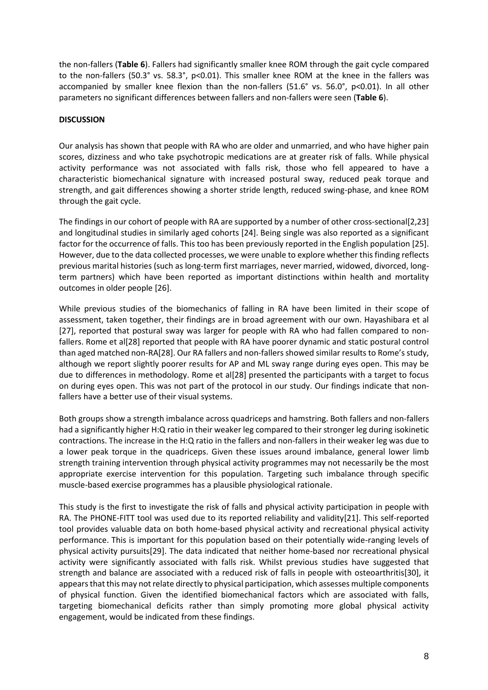the non-fallers (**Table 6**). Fallers had significantly smaller knee ROM through the gait cycle compared to the non-fallers (50.3° vs. 58.3°, p<0.01). This smaller knee ROM at the knee in the fallers was accompanied by smaller knee flexion than the non-fallers (51.6° vs. 56.0°, p<0.01). In all other parameters no significant differences between fallers and non-fallers were seen (**Table 6**).

### **DISCUSSION**

Our analysis has shown that people with RA who are older and unmarried, and who have higher pain scores, dizziness and who take psychotropic medications are at greater risk of falls. While physical activity performance was not associated with falls risk, those who fell appeared to have a characteristic biomechanical signature with increased postural sway, reduced peak torque and strength, and gait differences showing a shorter stride length, reduced swing-phase, and knee ROM through the gait cycle.

The findings in our cohort of people with RA are supported by a number of other cross-sectional[2,23] and longitudinal studies in similarly aged cohorts [24]. Being single was also reported as a significant factor for the occurrence of falls. This too has been previously reported in the English population [25]. However, due to the data collected processes, we were unable to explore whether this finding reflects previous marital histories (such as long-term first marriages, never married, widowed, divorced, longterm partners) which have been reported as important distinctions within health and mortality outcomes in older people [26].

While previous studies of the biomechanics of falling in RA have been limited in their scope of assessment, taken together, their findings are in broad agreement with our own. Hayashibara et al [27], reported that postural sway was larger for people with RA who had fallen compared to nonfallers. Rome et al[28] reported that people with RA have poorer dynamic and static postural control than aged matched non-RA[28]. Our RA fallers and non-fallers showed similar results to Rome's study, although we report slightly poorer results for AP and ML sway range during eyes open. This may be due to differences in methodology. Rome et al[28] presented the participants with a target to focus on during eyes open. This was not part of the protocol in our study. Our findings indicate that nonfallers have a better use of their visual systems.

Both groups show a strength imbalance across quadriceps and hamstring. Both fallers and non-fallers had a significantly higher H:Q ratio in their weaker leg compared to their stronger leg during isokinetic contractions. The increase in the H:Q ratio in the fallers and non-fallers in their weaker leg was due to a lower peak torque in the quadriceps. Given these issues around imbalance, general lower limb strength training intervention through physical activity programmes may not necessarily be the most appropriate exercise intervention for this population. Targeting such imbalance through specific muscle-based exercise programmes has a plausible physiological rationale.

This study is the first to investigate the risk of falls and physical activity participation in people with RA. The PHONE-FITT tool was used due to its reported reliability and validity[21]. This self-reported tool provides valuable data on both home-based physical activity and recreational physical activity performance. This is important for this population based on their potentially wide-ranging levels of physical activity pursuits[29]. The data indicated that neither home-based nor recreational physical activity were significantly associated with falls risk. Whilst previous studies have suggested that strength and balance are associated with a reduced risk of falls in people with osteoarthritis[30], it appears that this may not relate directly to physical participation, which assesses multiple components of physical function. Given the identified biomechanical factors which are associated with falls, targeting biomechanical deficits rather than simply promoting more global physical activity engagement, would be indicated from these findings.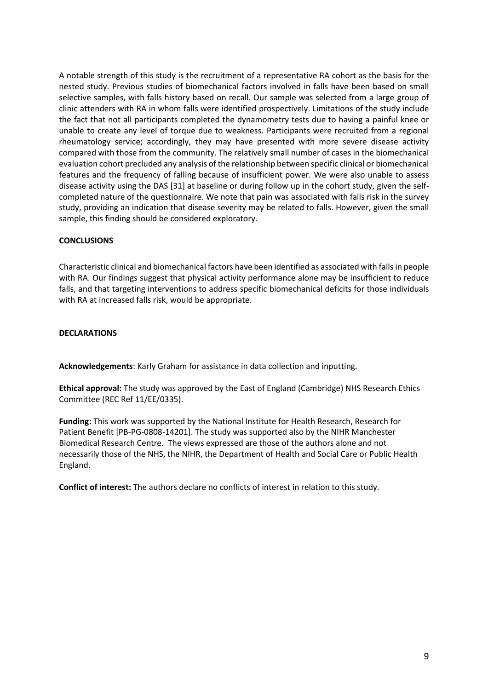A notable strength of this study is the recruitment of a representative RA cohort as the basis for the nested study. Previous studies of biomechanical factors involved in falls have been based on small selective samples, with falls history based on recall. Our sample was selected from a large group of clinic attenders with RA in whom falls were identified prospectively. Limitations of the study include the fact that not all participants completed the dynamometry tests due to having a painful knee or unable to create any level of torque due to weakness. Participants were recruited from a regional rheumatology service; accordingly, they may have presented with more severe disease activity compared with those from the community. The relatively small number of cases in the biomechanical evaluation cohort precluded any analysis of the relationship between specific clinical or biomechanical features and the frequency of falling because of insufficient power. We were also unable to assess disease activity using the DAS [31] at baseline or during follow up in the cohort study, given the selfcompleted nature of the questionnaire. We note that pain was associated with falls risk in the survey study, providing an indication that disease severity may be related to falls. However, given the small sample, this finding should be considered exploratory.

### **CONCLUSIONS**

Characteristic clinical and biomechanical factors have been identified as associated with falls in people with RA. Our findings suggest that physical activity performance alone may be insufficient to reduce falls, and that targeting interventions to address specific biomechanical deficits for those individuals with RA at increased falls risk, would be appropriate.

### **DECLARATIONS**

**Acknowledgements**: Karly Graham for assistance in data collection and inputting.

**Ethical approval:** The study was approved by the East of England (Cambridge) NHS Research Ethics Committee (REC Ref 11/EE/0335).

**Funding:** This work was supported by the National Institute for Health Research, Research for Patient Benefit [PB-PG-0808-14201]. The study was supported also by the NIHR Manchester Biomedical Research Centre. The views expressed are those of the authors alone and not necessarily those of the NHS, the NIHR, the Department of Health and Social Care or Public Health England.

**Conflict of interest:** The authors declare no conflicts of interest in relation to this study.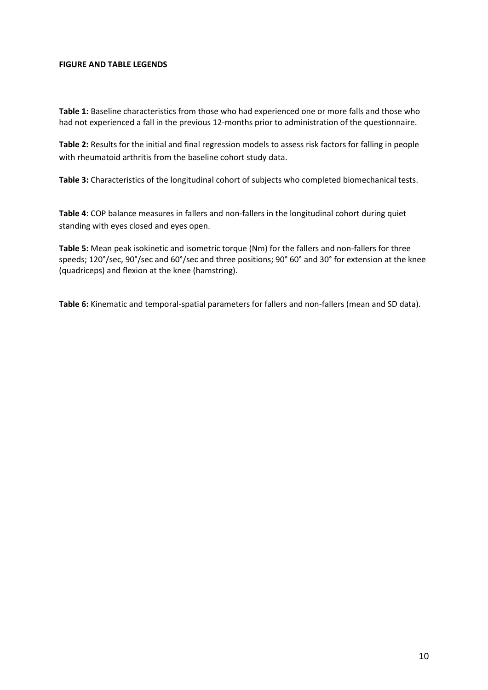#### **FIGURE AND TABLE LEGENDS**

**Table 1:** Baseline characteristics from those who had experienced one or more falls and those who had not experienced a fall in the previous 12-months prior to administration of the questionnaire.

**Table 2:** Results for the initial and final regression models to assess risk factors for falling in people with rheumatoid arthritis from the baseline cohort study data.

**Table 3:** Characteristics of the longitudinal cohort of subjects who completed biomechanical tests.

**Table 4**: COP balance measures in fallers and non-fallers in the longitudinal cohort during quiet standing with eyes closed and eyes open.

**Table 5:** Mean peak isokinetic and isometric torque (Nm) for the fallers and non-fallers for three speeds; 120°/sec, 90°/sec and 60°/sec and three positions; 90° 60° and 30° for extension at the knee (quadriceps) and flexion at the knee (hamstring).

**Table 6:** Kinematic and temporal-spatial parameters for fallers and non-fallers (mean and SD data).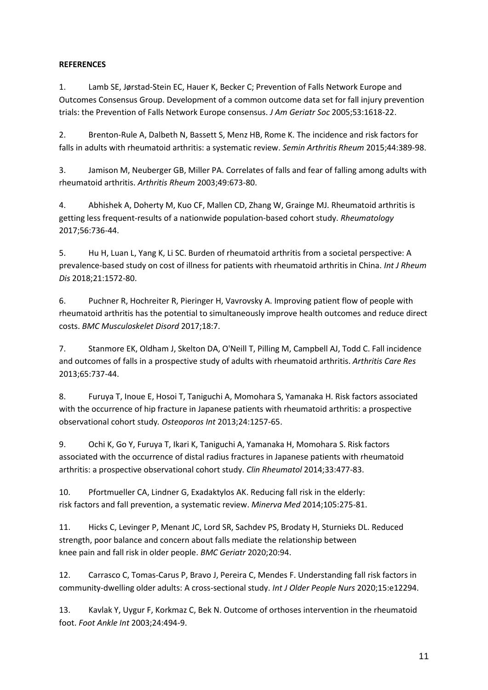# **REFERENCES**

1. Lamb SE, Jørstad-Stein EC, Hauer K, Becker C; Prevention of Falls Network Europe and Outcomes Consensus Group. Development of a common outcome data set for fall injury prevention trials: the Prevention of Falls Network Europe consensus. *J Am Geriatr Soc* 2005;53:1618-22.

2. Brenton-Rule A, Dalbeth N, Bassett S, Menz HB, Rome K. The incidence and risk factors for falls in adults with rheumatoid arthritis: a systematic review. *Semin Arthritis Rheum* 2015;44:389-98.

3. Jamison M, Neuberger GB, Miller PA. Correlates of falls and fear of falling among adults with rheumatoid arthritis. *Arthritis Rheum* 2003;49:673-80.

4. Abhishek A, Doherty M, Kuo CF, Mallen CD, Zhang W, Grainge MJ. Rheumatoid arthritis is getting less frequent-results of a nationwide population-based cohort study. *Rheumatology* 2017;56:736-44.

5. Hu H, Luan L, Yang K, Li SC. Burden of rheumatoid arthritis from a societal perspective: A prevalence-based study on cost of illness for patients with rheumatoid arthritis in China. *Int J Rheum Dis* 2018;21:1572-80.

6. Puchner R, Hochreiter R, Pieringer H, Vavrovsky A. Improving patient flow of people with rheumatoid arthritis has the potential to simultaneously improve health outcomes and reduce direct costs. *BMC Musculoskelet Disord* 2017;18:7.

7. Stanmore EK, Oldham J, Skelton DA, O'Neill T, Pilling M, Campbell AJ, Todd C. Fall incidence and outcomes of falls in a prospective study of adults with rheumatoid arthritis. *Arthritis Care Res* 2013;65:737-44.

8. Furuya T, Inoue E, Hosoi T, Taniguchi A, Momohara S, Yamanaka H. Risk factors associated with the occurrence of hip fracture in Japanese patients with rheumatoid arthritis: a prospective observational cohort study*. Osteoporos Int* 2013;24:1257-65.

9. Ochi K, Go Y, Furuya T, Ikari K, Taniguchi A, Yamanaka H, Momohara S. Risk factors associated with the occurrence of distal radius fractures in Japanese patients with rheumatoid arthritis: a prospective observational cohort study. *Clin Rheumatol* 2014;33:477-83.

10. Pfortmueller CA, Lindner G, Exadaktylos AK. Reducing fall risk in the elderly: risk factors and fall prevention, a systematic review. *Minerva Med* 2014;105:275-81.

11. Hicks C, Levinger P, Menant JC, Lord SR, Sachdev PS, Brodaty H, Sturnieks DL. Reduced strength, poor balance and concern about falls mediate the relationship between knee pain and fall risk in older people. *BMC Geriatr* 2020;20:94.

12. Carrasco C, Tomas-Carus P, Bravo J, Pereira C, Mendes F. Understanding fall risk factors in community-dwelling older adults: A cross-sectional study. *Int J Older People Nurs* 2020;15:e12294.

13. Kavlak Y, Uygur F, Korkmaz C, Bek N. Outcome of orthoses intervention in the rheumatoid foot. *Foot Ankle Int* 2003;24:494-9.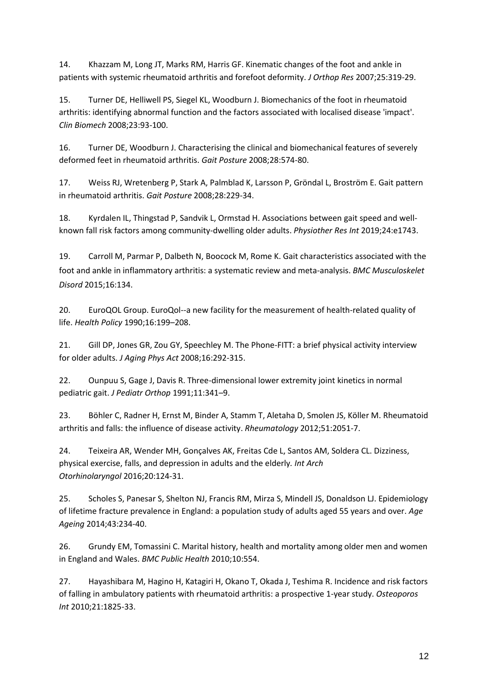14. Khazzam M, Long JT, Marks RM, Harris GF. Kinematic changes of the foot and ankle in patients with systemic rheumatoid arthritis and forefoot deformity. *J Orthop Res* 2007;25:319-29.

15. Turner DE, Helliwell PS, Siegel KL, Woodburn J. Biomechanics of the foot in rheumatoid arthritis: identifying abnormal function and the factors associated with localised disease 'impact'. *Clin Biomech* 2008;23:93-100.

16. Turner DE, Woodburn J. Characterising the clinical and biomechanical features of severely deformed feet in rheumatoid arthritis. *Gait Posture* 2008;28:574-80.

17. Weiss RJ, Wretenberg P, Stark A, Palmblad K, Larsson P, Gröndal L, Broström E. Gait pattern in rheumatoid arthritis. *Gait Posture* 2008;28:229-34.

18. Kyrdalen IL, Thingstad P, Sandvik L, Ormstad H. Associations between gait speed and wellknown fall risk factors among community-dwelling older adults. *Physiother Res Int* 2019;24:e1743.

19. Carroll M, Parmar P, Dalbeth N, Boocock M, Rome K. Gait characteristics associated with the foot and ankle in inflammatory arthritis: a systematic review and meta-analysis. *BMC Musculoskelet Disord* 2015;16:134.

20. EuroQOL Group. EuroQol--a new facility for the measurement of health-related quality of life. *Health Policy* 1990;16:199–208.

21. Gill DP, Jones GR, Zou GY, Speechley M. The Phone-FITT: a brief physical activity interview for older adults. *J Aging Phys Act* 2008;16:292-315.

22. Ounpuu S, Gage J, Davis R. Three-dimensional lower extremity joint kinetics in normal pediatric gait. *J Pediatr Orthop* 1991;11:341–9.

23. Böhler C, Radner H, Ernst M, Binder A, Stamm T, Aletaha D, Smolen JS, Köller M. Rheumatoid arthritis and falls: the influence of disease activity. *Rheumatology* 2012;51:2051-7.

24. Teixeira AR, Wender MH, Gonçalves AK, Freitas Cde L, Santos AM, Soldera CL. Dizziness, physical exercise, falls, and depression in adults and the elderly*. Int Arch Otorhinolaryngol* 2016;20:124-31.

25. Scholes S, Panesar S, Shelton NJ, Francis RM, Mirza S, Mindell JS, Donaldson LJ. Epidemiology of lifetime fracture prevalence in England: a population study of adults aged 55 years and over. *Age Ageing* 2014;43:234-40.

26. Grundy EM, Tomassini C. Marital history, health and mortality among older men and women in England and Wales. *BMC Public Health* 2010;10:554.

27. Hayashibara M, Hagino H, Katagiri H, Okano T, Okada J, Teshima R. Incidence and risk factors of falling in ambulatory patients with rheumatoid arthritis: a prospective 1-year study. *Osteoporos Int* 2010;21:1825-33.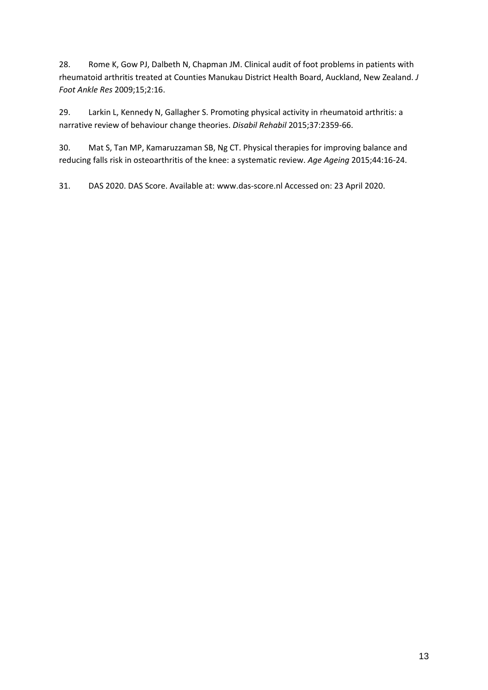28. Rome K, Gow PJ, Dalbeth N, Chapman JM. Clinical audit of foot problems in patients with rheumatoid arthritis treated at Counties Manukau District Health Board, Auckland, New Zealand. *J Foot Ankle Res* 2009;15;2:16.

29. Larkin L, Kennedy N, Gallagher S. Promoting physical activity in rheumatoid arthritis: a narrative review of behaviour change theories. *Disabil Rehabil* 2015;37:2359-66.

30. Mat S, Tan MP, Kamaruzzaman SB, Ng CT. Physical therapies for improving balance and reducing falls risk in osteoarthritis of the knee: a systematic review. *Age Ageing* 2015;44:16-24.

31. DAS 2020. DAS Score. Available at[: www.das-score.nl](http://www.das-score.nl/) Accessed on: 23 April 2020.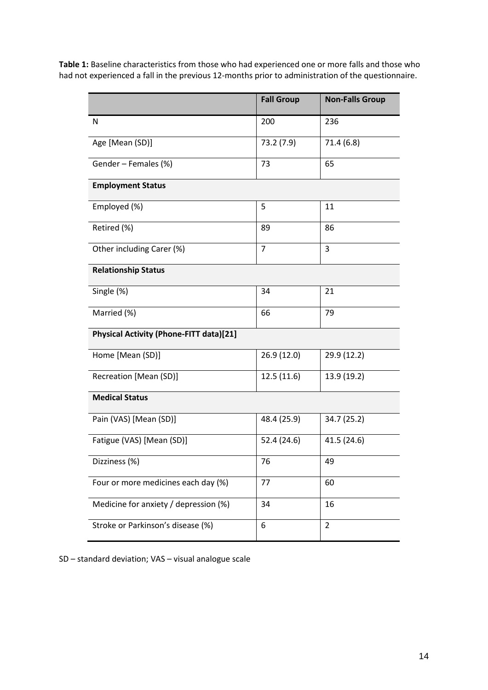**Table 1:** Baseline characteristics from those who had experienced one or more falls and those who had not experienced a fall in the previous 12-months prior to administration of the questionnaire.

|                                                | <b>Fall Group</b> | <b>Non-Falls Group</b> |
|------------------------------------------------|-------------------|------------------------|
| N                                              | 200               | 236                    |
| Age [Mean (SD)]                                | 73.2 (7.9)        | 71.4(6.8)              |
| Gender - Females (%)                           | 73                | 65                     |
| <b>Employment Status</b>                       |                   |                        |
| Employed (%)                                   | 5                 | 11                     |
| Retired (%)                                    | 89                | 86                     |
| Other including Carer (%)                      | $\overline{7}$    | 3                      |
| <b>Relationship Status</b>                     |                   |                        |
| Single (%)                                     | 34                | 21                     |
| Married (%)                                    | 66                | 79                     |
| <b>Physical Activity (Phone-FITT data)[21]</b> |                   |                        |
| Home [Mean (SD)]                               | 26.9 (12.0)       | 29.9 (12.2)            |
| Recreation [Mean (SD)]                         | 12.5(11.6)        | 13.9 (19.2)            |
| <b>Medical Status</b>                          |                   |                        |
| Pain (VAS) [Mean (SD)]                         | 48.4 (25.9)       | 34.7 (25.2)            |
| Fatigue (VAS) [Mean (SD)]                      | 52.4 (24.6)       | 41.5 (24.6)            |
| Dizziness (%)                                  | 76                | 49                     |
| Four or more medicines each day (%)            | 77                | 60                     |
| Medicine for anxiety / depression (%)          | 34                | 16                     |
| Stroke or Parkinson's disease (%)              | 6                 | $\overline{2}$         |

SD – standard deviation; VAS – visual analogue scale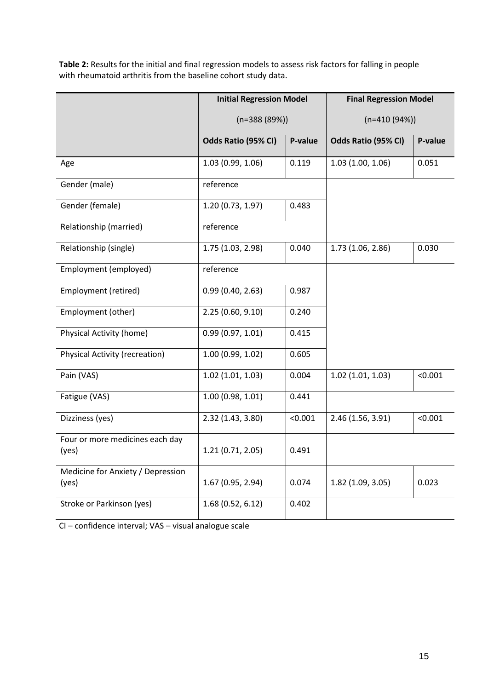**Table 2:** Results for the initial and final regression models to assess risk factors for falling in people with rheumatoid arthritis from the baseline cohort study data.

|                                            | <b>Initial Regression Model</b> |         | <b>Final Regression Model</b> |         |  |  |
|--------------------------------------------|---------------------------------|---------|-------------------------------|---------|--|--|
|                                            | $(n=388(89%))$                  |         | $(n=410(94%)$                 |         |  |  |
|                                            | Odds Ratio (95% CI)             | P-value | Odds Ratio (95% CI)           | P-value |  |  |
| Age                                        | 1.03(0.99, 1.06)                | 0.119   | 1.03(1.00, 1.06)              | 0.051   |  |  |
| Gender (male)                              | reference                       |         |                               |         |  |  |
| Gender (female)                            | 1.20 (0.73, 1.97)               | 0.483   |                               |         |  |  |
| Relationship (married)                     | reference                       |         |                               |         |  |  |
| Relationship (single)                      | 1.75 (1.03, 2.98)               | 0.040   | 1.73 (1.06, 2.86)             | 0.030   |  |  |
| Employment (employed)                      | reference                       |         |                               |         |  |  |
| Employment (retired)                       | 0.99(0.40, 2.63)                | 0.987   |                               |         |  |  |
| Employment (other)                         | 2.25(0.60, 9.10)                | 0.240   |                               |         |  |  |
| <b>Physical Activity (home)</b>            | 0.99(0.97, 1.01)                | 0.415   |                               |         |  |  |
| <b>Physical Activity (recreation)</b>      | 1.00 (0.99, 1.02)               | 0.605   |                               |         |  |  |
| Pain (VAS)                                 | 1.02(1.01, 1.03)                | 0.004   | 1.02(1.01, 1.03)              | < 0.001 |  |  |
| Fatigue (VAS)                              | 1.00(0.98, 1.01)                | 0.441   |                               |         |  |  |
| Dizziness (yes)                            | 2.32(1.43, 3.80)                | < 0.001 | 2.46 (1.56, 3.91)             | < 0.001 |  |  |
| Four or more medicines each day<br>(yes)   | 1.21(0.71, 2.05)                | 0.491   |                               |         |  |  |
| Medicine for Anxiety / Depression<br>(yes) | 1.67 (0.95, 2.94)               | 0.074   | 1.82(1.09, 3.05)              | 0.023   |  |  |
| Stroke or Parkinson (yes)                  | 1.68(0.52, 6.12)                | 0.402   |                               |         |  |  |

CI – confidence interval; VAS – visual analogue scale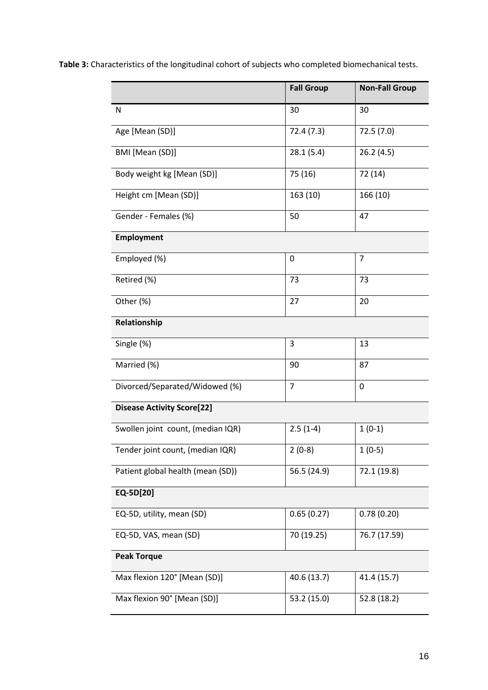**Table 3:** Characteristics of the longitudinal cohort of subjects who completed biomechanical tests.

|                                   | <b>Fall Group</b> | <b>Non-Fall Group</b> |  |
|-----------------------------------|-------------------|-----------------------|--|
| N                                 | 30                | 30                    |  |
| Age [Mean (SD)]                   | 72.4 (7.3)        | 72.5(7.0)             |  |
| BMI [Mean (SD)]                   | 28.1(5.4)         | 26.2(4.5)             |  |
| Body weight kg [Mean (SD)]        | 75 (16)           | 72 (14)               |  |
| Height cm [Mean (SD)]             | 163 (10)          | 166 (10)              |  |
| Gender - Females (%)              | 50                | 47                    |  |
| <b>Employment</b>                 |                   |                       |  |
| Employed (%)                      | 0                 | $\overline{7}$        |  |
| Retired (%)                       | 73                | 73                    |  |
| Other (%)                         | 27                | 20                    |  |
| Relationship                      |                   |                       |  |
| Single (%)                        | 3                 | 13                    |  |
| Married (%)                       | 90                | 87                    |  |
| Divorced/Separated/Widowed (%)    | $\overline{7}$    | 0                     |  |
| <b>Disease Activity Score[22]</b> |                   |                       |  |
| Swollen joint count, (median IQR) | $2.5(1-4)$        | $1(0-1)$              |  |
| Tender joint count, (median IQR)  | $2(0-8)$          | $1(0-5)$              |  |
| Patient global health (mean (SD)) | 56.5 (24.9)       | 72.1 (19.8)           |  |
| EQ-5D[20]                         |                   |                       |  |
| EQ-5D, utility, mean (SD)         | 0.65(0.27)        | 0.78(0.20)            |  |
| EQ-5D, VAS, mean (SD)             | 70 (19.25)        | 76.7 (17.59)          |  |
| <b>Peak Torque</b>                |                   |                       |  |
| Max flexion 120° [Mean (SD)]      | 40.6 (13.7)       | 41.4 (15.7)           |  |
| Max flexion 90° [Mean (SD)]       | 53.2 (15.0)       | 52.8 (18.2)           |  |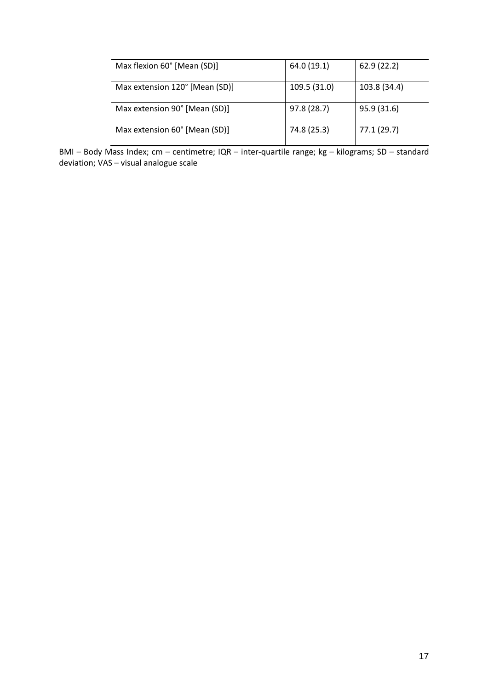| Max flexion 60° [Mean (SD)]    | 64.0 (19.1)  | 62.9(22.2)   |
|--------------------------------|--------------|--------------|
| Max extension 120° [Mean (SD)] | 109.5 (31.0) | 103.8 (34.4) |
| Max extension 90° [Mean (SD)]  | 97.8 (28.7)  | 95.9 (31.6)  |
| Max extension 60° [Mean (SD)]  | 74.8 (25.3)  | 77.1 (29.7)  |

BMI – Body Mass Index; cm – centimetre; IQR – inter-quartile range; kg – kilograms; SD – standard deviation; VAS – visual analogue scale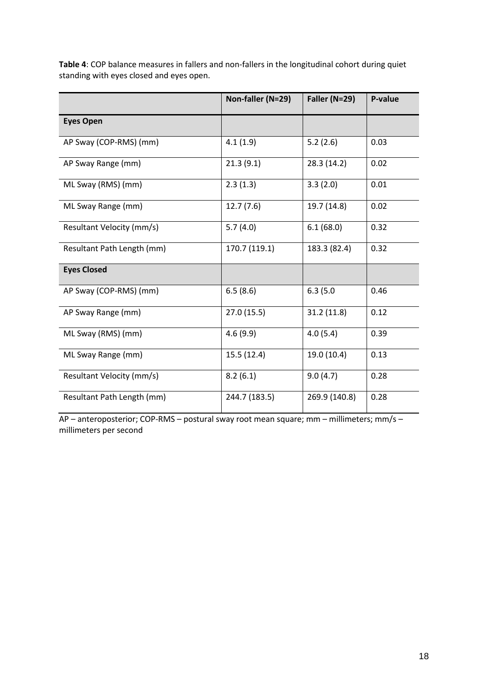**Table 4**: COP balance measures in fallers and non-fallers in the longitudinal cohort during quiet standing with eyes closed and eyes open.

|                            | Non-faller (N=29) | Faller (N=29) | P-value |
|----------------------------|-------------------|---------------|---------|
| <b>Eyes Open</b>           |                   |               |         |
| AP Sway (COP-RMS) (mm)     | 4.1(1.9)          | 5.2(2.6)      | 0.03    |
| AP Sway Range (mm)         | 21.3(9.1)         | 28.3 (14.2)   | 0.02    |
| ML Sway (RMS) (mm)         | 2.3(1.3)          | 3.3(2.0)      | 0.01    |
| ML Sway Range (mm)         | 12.7(7.6)         | 19.7 (14.8)   | 0.02    |
| Resultant Velocity (mm/s)  | 5.7(4.0)          | 6.1(68.0)     | 0.32    |
| Resultant Path Length (mm) | 170.7 (119.1)     | 183.3 (82.4)  | 0.32    |
| <b>Eyes Closed</b>         |                   |               |         |
| AP Sway (COP-RMS) (mm)     | 6.5(8.6)          | 6.3(5.0)      | 0.46    |
| AP Sway Range (mm)         | 27.0(15.5)        | 31.2(11.8)    | 0.12    |
| ML Sway (RMS) (mm)         | 4.6(9.9)          | 4.0(5.4)      | 0.39    |
| ML Sway Range (mm)         | 15.5(12.4)        | 19.0 (10.4)   | 0.13    |
| Resultant Velocity (mm/s)  | 8.2(6.1)          | 9.0(4.7)      | 0.28    |
| Resultant Path Length (mm) | 244.7 (183.5)     | 269.9 (140.8) | 0.28    |

AP – anteroposterior; COP-RMS – postural sway root mean square; mm – millimeters; mm/s – millimeters per second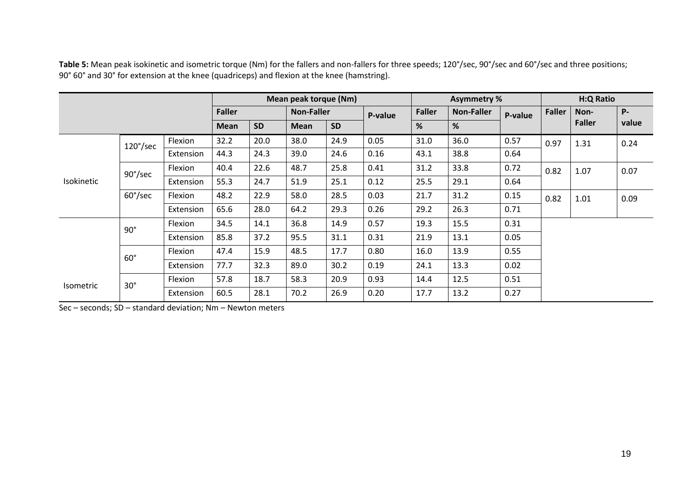|                  |                   |               | Mean peak torque (Nm) |                   |           | <b>Asymmetry %</b> |               |                   | <b>H:Q Ratio</b> |               |               |            |      |
|------------------|-------------------|---------------|-----------------------|-------------------|-----------|--------------------|---------------|-------------------|------------------|---------------|---------------|------------|------|
|                  |                   | <b>Faller</b> |                       | <b>Non-Faller</b> |           | P-value            | <b>Faller</b> | <b>Non-Faller</b> | P-value          | <b>Faller</b> | Non-          | <b>P</b> - |      |
|                  |                   | <b>Mean</b>   | <b>SD</b>             | Mean              | <b>SD</b> |                    | %             | %                 |                  |               | <b>Faller</b> | value      |      |
|                  | $120^{\circ}/sec$ | Flexion       | 32.2                  | 20.0              | 38.0      | 24.9               | 0.05          | 31.0              | 36.0             | 0.57          | 0.97          | 1.31       | 0.24 |
|                  |                   | Extension     | 44.3                  | 24.3              | 39.0      | 24.6               | 0.16          | 43.1              | 38.8             | 0.64          |               |            |      |
| Isokinetic       | $90^{\circ}/sec$  | Flexion       | 40.4                  | 22.6              | 48.7      | 25.8               | 0.41          | 31.2              | 33.8             | 0.72          | 0.82          | 1.07       | 0.07 |
|                  |                   | Extension     | 55.3                  | 24.7              | 51.9      | 25.1               | 0.12          | 25.5              | 29.1             | 0.64          |               |            |      |
|                  | $60^{\circ}/sec$  | Flexion       | 48.2                  | 22.9              | 58.0      | 28.5               | 0.03          | 21.7              | 31.2             | 0.15          | 0.82          | 1.01       | 0.09 |
|                  |                   | Extension     | 65.6                  | 28.0              | 64.2      | 29.3               | 0.26          | 29.2              | 26.3             | 0.71          |               |            |      |
|                  | $90^{\circ}$      | Flexion       | 34.5                  | 14.1              | 36.8      | 14.9               | 0.57          | 19.3              | 15.5             | 0.31          |               |            |      |
|                  |                   | Extension     | 85.8                  | 37.2              | 95.5      | 31.1               | 0.31          | 21.9              | 13.1             | 0.05          |               |            |      |
|                  | $60^\circ$        | Flexion       | 47.4                  | 15.9              | 48.5      | 17.7               | 0.80          | 16.0              | 13.9             | 0.55          |               |            |      |
|                  |                   | Extension     | 77.7                  | 32.3              | 89.0      | 30.2               | 0.19          | 24.1              | 13.3             | 0.02          |               |            |      |
| <b>Isometric</b> | $30^\circ$        | Flexion       | 57.8                  | 18.7              | 58.3      | 20.9               | 0.93          | 14.4              | 12.5             | 0.51          |               |            |      |
|                  |                   | Extension     | 60.5                  | 28.1              | 70.2      | 26.9               | 0.20          | 17.7              | 13.2             | 0.27          |               |            |      |

Table 5: Mean peak isokinetic and isometric torque (Nm) for the fallers and non-fallers for three speeds; 120°/sec, 90°/sec and 60°/sec and three positions; 90° 60° and 30° for extension at the knee (quadriceps) and flexion at the knee (hamstring).

Sec – seconds; SD – standard deviation; Nm – Newton meters